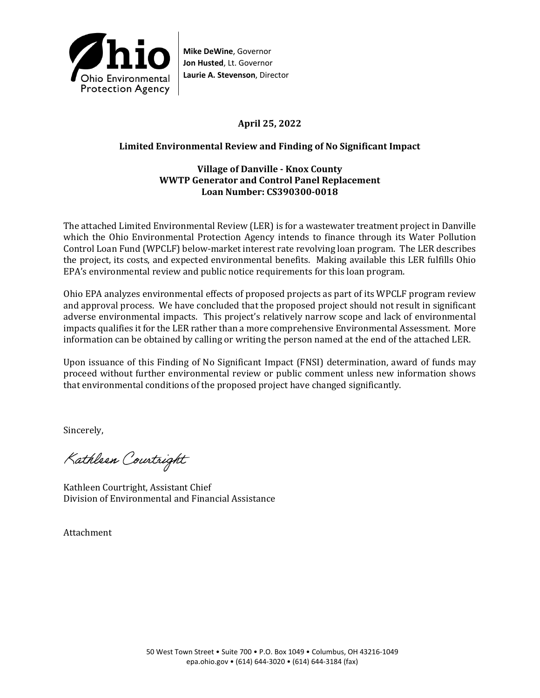

**Mike DeWine**, Governor **Jon Husted**, Lt. Governor **Laurie A. Stevenson**, Director

# **April 25, 2022**

### **Limited Environmental Review and Finding of No Significant Impact**

### **Village of Danville - Knox County WWTP Generator and Control Panel Replacement Loan Number: CS390300-0018**

The attached Limited Environmental Review (LER) is for a wastewater treatment project in Danville which the Ohio Environmental Protection Agency intends to finance through its Water Pollution Control Loan Fund (WPCLF) below-market interest rate revolving loan program. The LER describes the project, its costs, and expected environmental benefits. Making available this LER fulfills Ohio EPA's environmental review and public notice requirements for this loan program.

Ohio EPA analyzes environmental effects of proposed projects as part of its WPCLF program review and approval process. We have concluded that the proposed project should not result in significant adverse environmental impacts. This project's relatively narrow scope and lack of environmental impacts qualifies it for the LER rather than a more comprehensive Environmental Assessment. More information can be obtained by calling or writing the person named at the end of the attached LER.

Upon issuance of this Finding of No Significant Impact (FNSI) determination, award of funds may proceed without further environmental review or public comment unless new information shows that environmental conditions of the proposed project have changed significantly.

Sincerely,

Kathleen Courtright

Kathleen Courtright, Assistant Chief Division of Environmental and Financial Assistance

Attachment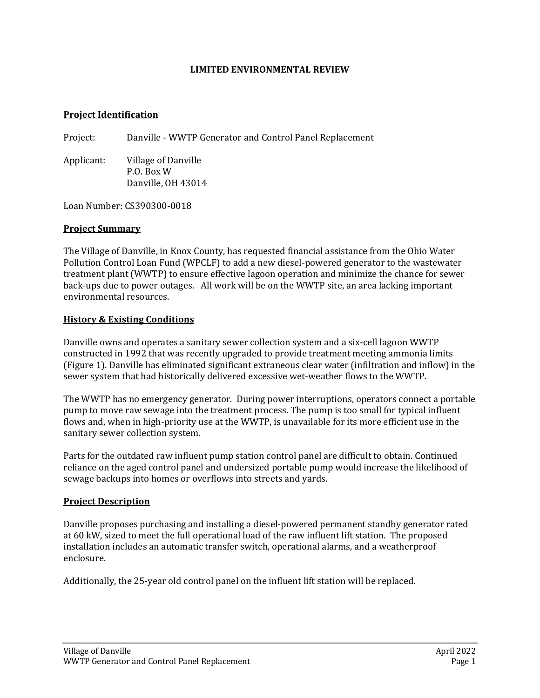#### **LIMITED ENVIRONMENTAL REVIEW**

#### **Project Identification**

Project: Danville - WWTP Generator and Control Panel Replacement

Applicant: Village of Danville P.O. Box W Danville, OH 43014

Loan Number: CS390300-0018

#### **Project Summary**

The Village of Danville, in Knox County, has requested financial assistance from the Ohio Water Pollution Control Loan Fund (WPCLF) to add a new diesel-powered generator to the wastewater treatment plant (WWTP) to ensure effective lagoon operation and minimize the chance for sewer back-ups due to power outages. All work will be on the WWTP site, an area lacking important environmental resources.

### **History & Existing Conditions**

Danville owns and operates a sanitary sewer collection system and a six-cell lagoon WWTP constructed in 1992 that was recently upgraded to provide treatment meeting ammonia limits (Figure 1). Danville has eliminated significant extraneous clear water (infiltration and inflow) in the sewer system that had historically delivered excessive wet-weather flows to the WWTP.

The WWTP has no emergency generator. During power interruptions, operators connect a portable pump to move raw sewage into the treatment process. The pump is too small for typical influent flows and, when in high-priority use at the WWTP, is unavailable for its more efficient use in the sanitary sewer collection system.

Parts for the outdated raw influent pump station control panel are difficult to obtain. Continued reliance on the aged control panel and undersized portable pump would increase the likelihood of sewage backups into homes or overflows into streets and yards.

### **Project Description**

Danville proposes purchasing and installing a diesel-powered permanent standby generator rated at 60 kW, sized to meet the full operational load of the raw influent lift station. The proposed installation includes an automatic transfer switch, operational alarms, and a weatherproof enclosure.

Additionally, the 25-year old control panel on the influent lift station will be replaced.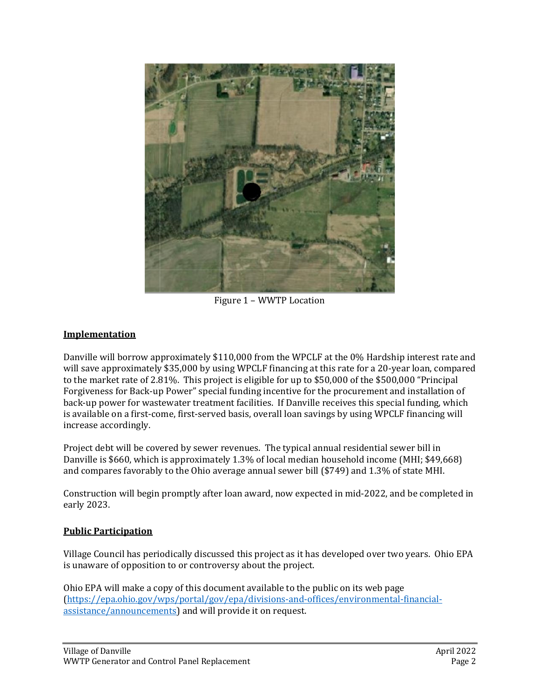

Figure 1 – WWTP Location

# **Implementation**

Danville will borrow approximately \$110,000 from the WPCLF at the 0% Hardship interest rate and will save approximately \$35,000 by using WPCLF financing at this rate for a 20-year loan, compared to the market rate of 2.81%. This project is eligible for up to \$50,000 of the \$500,000 "Principal Forgiveness for Back-up Power" special funding incentive for the procurement and installation of back-up power for wastewater treatment facilities. If Danville receives this special funding, which is available on a first-come, first-served basis, overall loan savings by using WPCLF financing will increase accordingly.

Project debt will be covered by sewer revenues. The typical annual residential sewer bill in Danville is \$660, which is approximately 1.3% of local median household income (MHI; \$49,668) and compares favorably to the Ohio average annual sewer bill (\$749) and 1.3% of state MHI.

Construction will begin promptly after loan award, now expected in mid-2022, and be completed in early 2023.

## **Public Participation**

Village Council has periodically discussed this project as it has developed over two years. Ohio EPA is unaware of opposition to or controversy about the project.

Ohio EPA will make a copy of this document available to the public on its web page [\(https://epa.ohio.gov/wps/portal/gov/epa/divisions-and-offices/environmental-financial](https://epa.ohio.gov/wps/portal/gov/epa/divisions-and-offices/environmental-financial-assistance/announcements)[assistance/announcements\)](https://epa.ohio.gov/wps/portal/gov/epa/divisions-and-offices/environmental-financial-assistance/announcements) and will provide it on request.